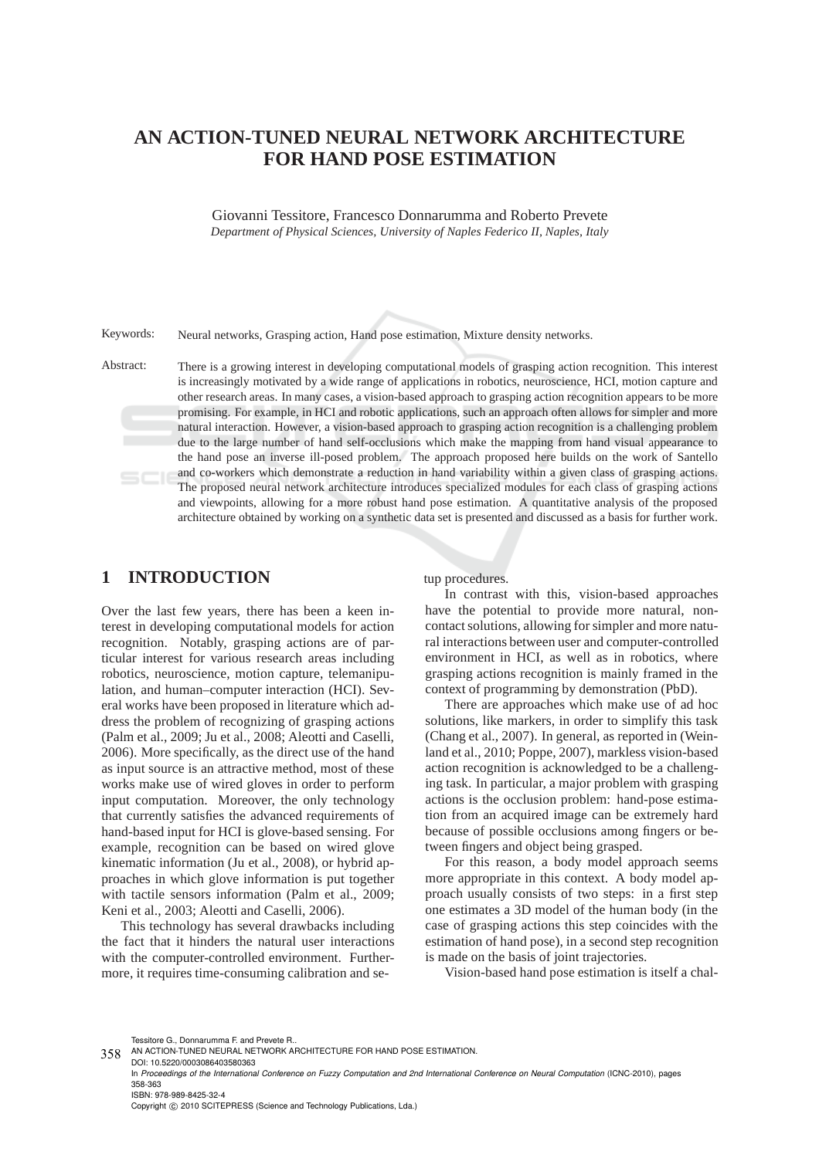# **AN ACTION-TUNED NEURAL NETWORK ARCHITECTURE FOR HAND POSE ESTIMATION**

Giovanni Tessitore, Francesco Donnarumma and Roberto Prevete *Department of Physical Sciences, University of Naples Federico II, Naples, Italy*

Keywords: Neural networks, Grasping action, Hand pose estimation, Mixture density networks.

Abstract: There is a growing interest in developing computational models of grasping action recognition. This interest is increasingly motivated by a wide range of applications in robotics, neuroscience, HCI, motion capture and other research areas. In many cases, a vision-based approach to grasping action recognition appears to be more promising. For example, in HCI and robotic applications, such an approach often allows for simpler and more natural interaction. However, a vision-based approach to grasping action recognition is a challenging problem due to the large number of hand self-occlusions which make the mapping from hand visual appearance to the hand pose an inverse ill-posed problem. The approach proposed here builds on the work of Santello and co-workers which demonstrate a reduction in hand variability within a given class of grasping actions. The proposed neural network architecture introduces specialized modules for each class of grasping actions and viewpoints, allowing for a more robust hand pose estimation. A quantitative analysis of the proposed architecture obtained by working on a synthetic data set is presented and discussed as a basis for further work.

# **1 INTRODUCTION**

Over the last few years, there has been a keen interest in developing computational models for action recognition. Notably, grasping actions are of particular interest for various research areas including robotics, neuroscience, motion capture, telemanipulation, and human–computer interaction (HCI). Several works have been proposed in literature which address the problem of recognizing of grasping actions (Palm et al., 2009; Ju et al., 2008; Aleotti and Caselli, 2006). More specifically, as the direct use of the hand as input source is an attractive method, most of these works make use of wired gloves in order to perform input computation. Moreover, the only technology that currently satisfies the advanced requirements of hand-based input for HCI is glove-based sensing. For example, recognition can be based on wired glove kinematic information (Ju et al., 2008), or hybrid approaches in which glove information is put together with tactile sensors information (Palm et al., 2009; Keni et al., 2003; Aleotti and Caselli, 2006).

This technology has several drawbacks including the fact that it hinders the natural user interactions with the computer-controlled environment. Furthermore, it requires time-consuming calibration and setup procedures.

In contrast with this, vision-based approaches have the potential to provide more natural, noncontact solutions, allowing for simpler and more natural interactions between user and computer-controlled environment in HCI, as well as in robotics, where grasping actions recognition is mainly framed in the context of programming by demonstration (PbD).

There are approaches which make use of ad hoc solutions, like markers, in order to simplify this task (Chang et al., 2007). In general, as reported in (Weinland et al., 2010; Poppe, 2007), markless vision-based action recognition is acknowledged to be a challenging task. In particular, a major problem with grasping actions is the occlusion problem: hand-pose estimation from an acquired image can be extremely hard because of possible occlusions among fingers or between fingers and object being grasped.

For this reason, a body model approach seems more appropriate in this context. A body model approach usually consists of two steps: in a first step one estimates a 3D model of the human body (in the case of grasping actions this step coincides with the estimation of hand pose), in a second step recognition is made on the basis of joint trajectories.

Vision-based hand pose estimation is itself a chal-

Tessitore G., Donnarumma F. and Prevete R..

DOI: 10.5220/0003086403580363 In *Proceedings of the International Conference on Fuzzy Computation and 2nd International Conference on Neural Computation* (ICNC-2010), pages 358-363 ISBN: 978-989-8425-32-4 Copyright © 2010 SCITEPRESS (Science and Technology Publications, Lda.)

<sup>358</sup> AN ACTION-TUNED NEURAL NETWORK ARCHITECTURE FOR HAND POSE ESTIMATION.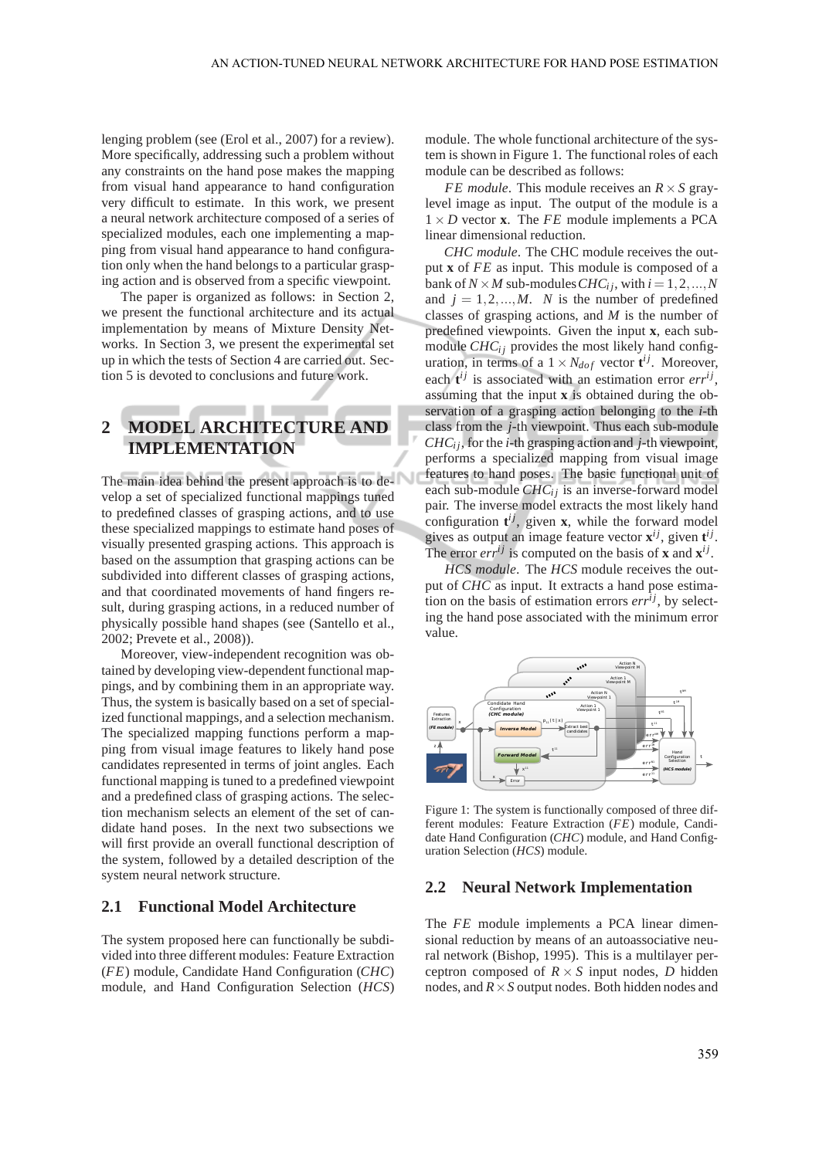lenging problem (see (Erol et al., 2007) for a review). More specifically, addressing such a problem without any constraints on the hand pose makes the mapping from visual hand appearance to hand configuration very difficult to estimate. In this work, we present a neural network architecture composed of a series of specialized modules, each one implementing a mapping from visual hand appearance to hand configuration only when the hand belongs to a particular grasping action and is observed from a specific viewpoint.

The paper is organized as follows: in Section 2, we present the functional architecture and its actual implementation by means of Mixture Density Networks. In Section 3, we present the experimental set up in which the tests of Section 4 are carried out. Section 5 is devoted to conclusions and future work.

# **2 MODEL ARCHITECTURE AND IMPLEMENTATION**

The main idea behind the present approach is to develop a set of specialized functional mappings tuned to predefined classes of grasping actions, and to use these specialized mappings to estimate hand poses of visually presented grasping actions. This approach is based on the assumption that grasping actions can be subdivided into different classes of grasping actions, and that coordinated movements of hand fingers result, during grasping actions, in a reduced number of physically possible hand shapes (see (Santello et al., 2002; Prevete et al., 2008)).

Moreover, view-independent recognition was obtained by developing view-dependent functional mappings, and by combining them in an appropriate way. Thus, the system is basically based on a set of specialized functional mappings, and a selection mechanism. The specialized mapping functions perform a mapping from visual image features to likely hand pose candidates represented in terms of joint angles. Each functional mapping is tuned to a predefined viewpoint and a predefined class of grasping actions. The selection mechanism selects an element of the set of candidate hand poses. In the next two subsections we will first provide an overall functional description of the system, followed by a detailed description of the system neural network structure.

#### **2.1 Functional Model Architecture**

The system proposed here can functionally be subdivided into three different modules: Feature Extraction (*FE*) module, Candidate Hand Configuration (*CHC*) module, and Hand Configuration Selection (*HCS*) module. The whole functional architecture of the system is shown in Figure 1. The functional roles of each module can be described as follows:

*FE module*. This module receives an *R*×*S* graylevel image as input. The output of the module is a  $1 \times D$  vector **x**. The *FE* module implements a PCA linear dimensional reduction.

*CHC module*. The CHC module receives the output **x** of *FE* as input. This module is composed of a bank of  $N \times M$  sub-modules  $CHC_i$ *i*, with  $i = 1, 2, ..., N$ and  $j = 1, 2, ..., M$ . *N* is the number of predefined classes of grasping actions, and *M* is the number of predefined viewpoints. Given the input **x**, each submodule  $CHC<sub>ij</sub>$  provides the most likely hand configuration, in terms of a  $1 \times N_{dof}$  vector  $\mathbf{t}^{ij}$ . Moreover, each  $t^{ij}$  is associated with an estimation error  $err^{ij}$ , assuming that the input **x** is obtained during the observation of a grasping action belonging to the *i*-th class from the *j*-th viewpoint. Thus each sub-module *CHCi j*, for the *i*-th grasping action and *j*-th viewpoint, performs a specialized mapping from visual image features to hand poses. The basic functional unit of each sub-module *CHC*<sup>*i*</sup> is an inverse-forward model pair. The inverse model extracts the most likely hand configuration  $t^{ij}$ , given **x**, while the forward model gives as output an image feature vector  $\mathbf{x}^{ij}$ , given  $\mathbf{t}^{ij}$ . The error  $err^{ij}$  is computed on the basis of **x** and  $\mathbf{x}^{ij}$ .

*HCS module*. The *HCS* module receives the output of *CHC* as input. It extracts a hand pose estimation on the basis of estimation errors  $err^{ij}$ , by selecting the hand pose associated with the minimum error value.



Figure 1: The system is functionally composed of three different modules: Feature Extraction (*FE*) module, Candidate Hand Configuration (*CHC*) module, and Hand Configuration Selection (*HCS*) module.

#### **2.2 Neural Network Implementation**

The *FE* module implements a PCA linear dimensional reduction by means of an autoassociative neural network (Bishop, 1995). This is a multilayer perceptron composed of  $R \times S$  input nodes, *D* hidden nodes, and *R*×*S* output nodes. Both hidden nodes and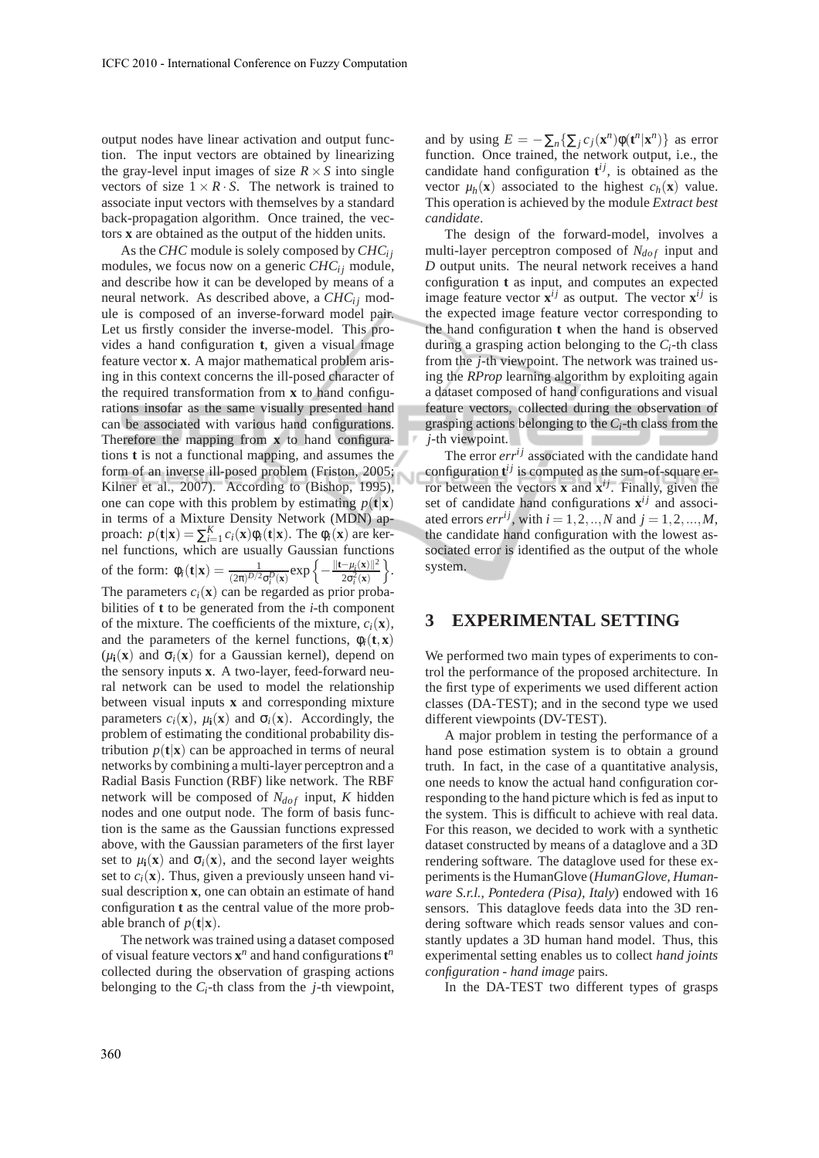output nodes have linear activation and output function. The input vectors are obtained by linearizing the gray-level input images of size  $R \times S$  into single vectors of size  $1 \times R \cdot S$ . The network is trained to associate input vectors with themselves by a standard back-propagation algorithm. Once trained, the vectors **x** are obtained as the output of the hidden units.

As the *CHC* module is solely composed by *CHCi j* modules, we focus now on a generic  $CHC<sub>ij</sub>$  module, and describe how it can be developed by means of a neural network. As described above, a CHC<sub>*i*i</sub> module is composed of an inverse-forward model pair. Let us firstly consider the inverse-model. This provides a hand configuration **t**, given a visual image feature vector **x**. A major mathematical problem arising in this context concerns the ill-posed character of the required transformation from **x** to hand configurations insofar as the same visually presented hand can be associated with various hand configurations. Therefore the mapping from **x** to hand configurations **t** is not a functional mapping, and assumes the form of an inverse ill-posed problem (Friston, 2005; Kilner et al., 2007). According to (Bishop, 1995), one can cope with this problem by estimating  $p(\mathbf{t}|\mathbf{x})$ in terms of a Mixture Density Network (MDN) approach:  $p(\mathbf{t}|\mathbf{x}) = \sum_{i=1}^{K} c_i(\mathbf{x}) \phi_i(\mathbf{t}|\mathbf{x})$ . The  $\phi_i(\mathbf{x})$  are kernel functions, which are usually Gaussian functions of the form:  $\phi_i(\mathbf{t}|\mathbf{x}) = \frac{1}{(2\pi)^{D/2}\sigma_i^D(\mathbf{x})} \exp\left\{-\frac{\|\mathbf{t} - \mu_i(\mathbf{x})\|^2}{2\sigma_i^2(\mathbf{x})}\right\}$  $\frac{-\mu_i(\mathbf{x})\|^2}{2\sigma_i^2(\mathbf{x})}\bigg\}.$ The parameters  $c_i(\mathbf{x})$  can be regarded as prior probabilities of **t** to be generated from the *i*-th component of the mixture. The coefficients of the mixture,  $c_i(\mathbf{x})$ , and the parameters of the kernel functions,  $\phi_i(\mathbf{t}, \mathbf{x})$  $(\mu_i(\mathbf{x})$  and  $\sigma_i(\mathbf{x})$  for a Gaussian kernel), depend on the sensory inputs **x**. A two-layer, feed-forward neural network can be used to model the relationship between visual inputs **x** and corresponding mixture parameters  $c_i(\mathbf{x})$ ,  $\mu_i(\mathbf{x})$  and  $\sigma_i(\mathbf{x})$ . Accordingly, the problem of estimating the conditional probability distribution  $p(\mathbf{t}|\mathbf{x})$  can be approached in terms of neural networks by combining a multi-layer perceptron and a Radial Basis Function (RBF) like network. The RBF network will be composed of  $N_{dof}$  input, *K* hidden nodes and one output node. The form of basis function is the same as the Gaussian functions expressed above, with the Gaussian parameters of the first layer set to  $\mu$ **i**(**x**) and  $\sigma$ <sup>*i*</sup>(**x**), and the second layer weights set to  $c_i(\mathbf{x})$ . Thus, given a previously unseen hand visual description **x**, one can obtain an estimate of hand configuration **t** as the central value of the more probable branch of  $p(\mathbf{t}|\mathbf{x})$ .

The network was trained using a dataset composed of visual feature vectors  $x^n$  and hand configurations  $t^n$ collected during the observation of grasping actions belonging to the *Ci*-th class from the *j*-th viewpoint,

and by using  $E = -\sum_{n} {\sum_{j} c_j(\mathbf{x}^n) \phi(\mathbf{t}^n | \mathbf{x}^n)}$  as error function. Once trained, the network output, i.e., the candidate hand configuration  $t^{ij}$ , is obtained as the vector  $\mu_h(\mathbf{x})$  associated to the highest  $c_h(\mathbf{x})$  value. This operation is achieved by the module *Extract best candidate*.

The design of the forward-model, involves a multi-layer perceptron composed of  $N_{dof}$  input and *D* output units. The neural network receives a hand configuration **t** as input, and computes an expected image feature vector  $\mathbf{x}^{ij}$  as output. The vector  $\mathbf{x}^{ij}$  is the expected image feature vector corresponding to the hand configuration **t** when the hand is observed during a grasping action belonging to the  $C_i$ -th class from the *j*-th viewpoint. The network was trained using the *RProp* learning algorithm by exploiting again a dataset composed of hand configurations and visual feature vectors, collected during the observation of grasping actions belonging to the *Ci*-th class from the *j*-th viewpoint. \_\_\_

The error  $err^{ij}$  associated with the candidate hand configuration  $t^{ij}$  is computed as the sum-of-square error between the vectors **x** and  $\mathbf{x}^{ij}$ . Finally, given the set of candidate hand configurations  $\mathbf{x}^{ij}$  and associated errors *err<sup>ij</sup>*, with  $i = 1, 2, ..., N$  and  $j = 1, 2, ..., M$ , the candidate hand configuration with the lowest associated error is identified as the output of the whole system.

#### **3 EXPERIMENTAL SETTING**

We performed two main types of experiments to control the performance of the proposed architecture. In the first type of experiments we used different action classes (DA-TEST); and in the second type we used different viewpoints (DV-TEST).

A major problem in testing the performance of a hand pose estimation system is to obtain a ground truth. In fact, in the case of a quantitative analysis, one needs to know the actual hand configuration corresponding to the hand picture which is fed as input to the system. This is difficult to achieve with real data. For this reason, we decided to work with a synthetic dataset constructed by means of a dataglove and a 3D rendering software. The dataglove used for these experiments is the HumanGlove (*HumanGlove, Humanware S.r.l., Pontedera (Pisa), Italy*) endowed with 16 sensors. This dataglove feeds data into the 3D rendering software which reads sensor values and constantly updates a 3D human hand model. Thus, this experimental setting enables us to collect *hand joints configuration - hand image* pairs.

In the DA-TEST two different types of grasps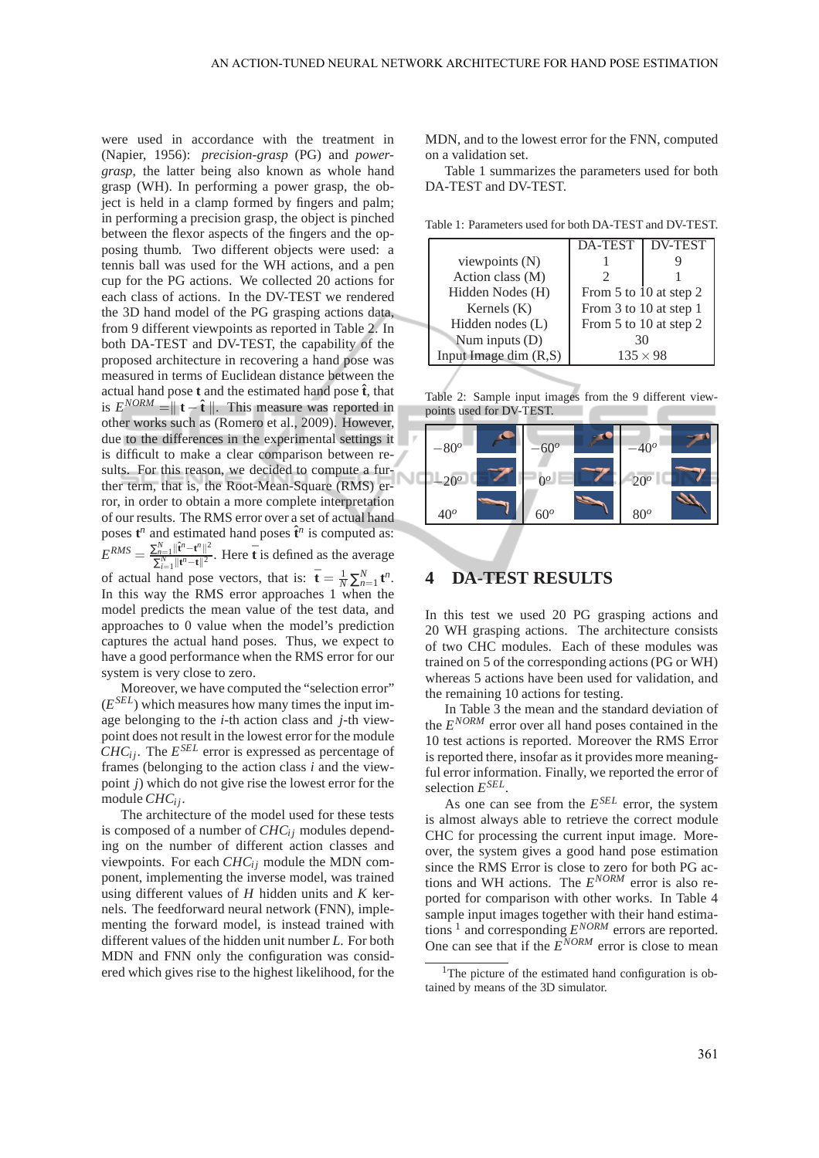were used in accordance with the treatment in (Napier, 1956): *precision-grasp* (PG) and *powergrasp*, the latter being also known as whole hand grasp (WH). In performing a power grasp, the object is held in a clamp formed by fingers and palm; in performing a precision grasp, the object is pinched between the flexor aspects of the fingers and the opposing thumb. Two different objects were used: a tennis ball was used for the WH actions, and a pen cup for the PG actions. We collected 20 actions for each class of actions. In the DV-TEST we rendered the 3D hand model of the PG grasping actions data, from 9 different viewpoints as reported in Table 2. In both DA-TEST and DV-TEST, the capability of the proposed architecture in recovering a hand pose was measured in terms of Euclidean distance between the actual hand pose  $t$  and the estimated hand pose  $\hat{t}$ , that is  $E^{NORM} = \parallel \mathbf{t} - \hat{\mathbf{t}} \parallel$ . This measure was reported in other works such as (Romero et al., 2009). However, due to the differences in the experimental settings it is difficult to make a clear comparison between results. For this reason, we decided to compute a further term, that is, the Root-Mean-Square (RMS) error, in order to obtain a more complete interpretation of our results. The RMS error over a set of actual hand poses  $t^n$  and estimated hand poses  $\hat{t}^n$  is computed as:  $E^{RMS} = \frac{\sum_{n=1}^{N}\|\hat{\mathbf{t}}^{n} - \mathbf{t}^{n}\|^{2}}{\sum_{n=1}^{N}\|\mathbf{t}^{n} - \bar{\mathbf{t}}^{n}\|^{2}}$  $\sum_{n=1}^{N} ||\mathbf{t}^n - \mathbf{t}^n||^2$ . Here  $\bar{\mathbf{t}}$  is defined as the average of actual hand pose vectors, that is:  $\bar{\mathbf{t}} = \frac{1}{N} \sum_{n=1}^{N} \mathbf{t}^n$ . In this way the RMS error approaches 1 when the model predicts the mean value of the test data, and approaches to 0 value when the model's prediction captures the actual hand poses. Thus, we expect to have a good performance when the RMS error for our system is very close to zero.

Moreover, we have computed the "selection error" (*E SEL*) which measures how many times the input image belonging to the *i*-th action class and *j*-th viewpoint does not result in the lowest error for the module *CHC*<sub>*i*</sub>. The  $E^{SEL}$  error is expressed as percentage of frames (belonging to the action class *i* and the viewpoint *j*) which do not give rise the lowest error for the module *CHCi j*.

The architecture of the model used for these tests is composed of a number of *CHC*<sup>*i*</sup> modules depending on the number of different action classes and viewpoints. For each  $CHC<sub>ij</sub>$  module the MDN component, implementing the inverse model, was trained using different values of *H* hidden units and *K* kernels. The feedforward neural network (FNN), implementing the forward model, is instead trained with different values of the hidden unit number *L*. For both MDN and FNN only the configuration was considered which gives rise to the highest likelihood, for the MDN, and to the lowest error for the FNN, computed on a validation set.

Table 1 summarizes the parameters used for both DA-TEST and DV-TEST.

|                          | DA-TEST                | <b>DV-TEST</b> |
|--------------------------|------------------------|----------------|
| viewpoints (N)           |                        |                |
| Action class (M)         |                        |                |
| Hidden Nodes (H)         | From 5 to 10 at step 2 |                |
| Kernels $(K)$            | From 3 to 10 at step 1 |                |
| Hidden nodes (L)         | From 5 to 10 at step 2 |                |
| Num inputs $(D)$         | 30                     |                |
| Input Image dim $(R, S)$ | $135 \times 98$        |                |
|                          |                        |                |

Table 1: Parameters used for both DA-TEST and DV-TEST.

Table 2: Sample input images from the 9 different viewpoints used for DV-TEST.

| $-80^o$       | $-60^{\circ}$ | $-40^o$ |  |
|---------------|---------------|---------|--|
| $-20^{\circ}$ | $0^{\circ}$   | $20^o$  |  |
| $40^o$        | $60^o$        | $80^o$  |  |

## **4 DA-TEST RESULTS**

In this test we used 20 PG grasping actions and 20 WH grasping actions. The architecture consists of two CHC modules. Each of these modules was trained on 5 of the corresponding actions (PG or WH) whereas 5 actions have been used for validation, and the remaining 10 actions for testing.

In Table 3 the mean and the standard deviation of the *E NORM* error over all hand poses contained in the 10 test actions is reported. Moreover the RMS Error is reported there, insofar as it provides more meaningful error information. Finally, we reported the error of selection *E SEL* .

As one can see from the *E SEL* error, the system is almost always able to retrieve the correct module CHC for processing the current input image. Moreover, the system gives a good hand pose estimation since the RMS Error is close to zero for both PG actions and WH actions. The  $E^{NORM}$  error is also reported for comparison with other works. In Table 4 sample input images together with their hand estimations  $\frac{1}{2}$  and corresponding  $E^{NORM}$  errors are reported. One can see that if the *E NORM* error is close to mean

<sup>&</sup>lt;sup>1</sup>The picture of the estimated hand configuration is obtained by means of the 3D simulator.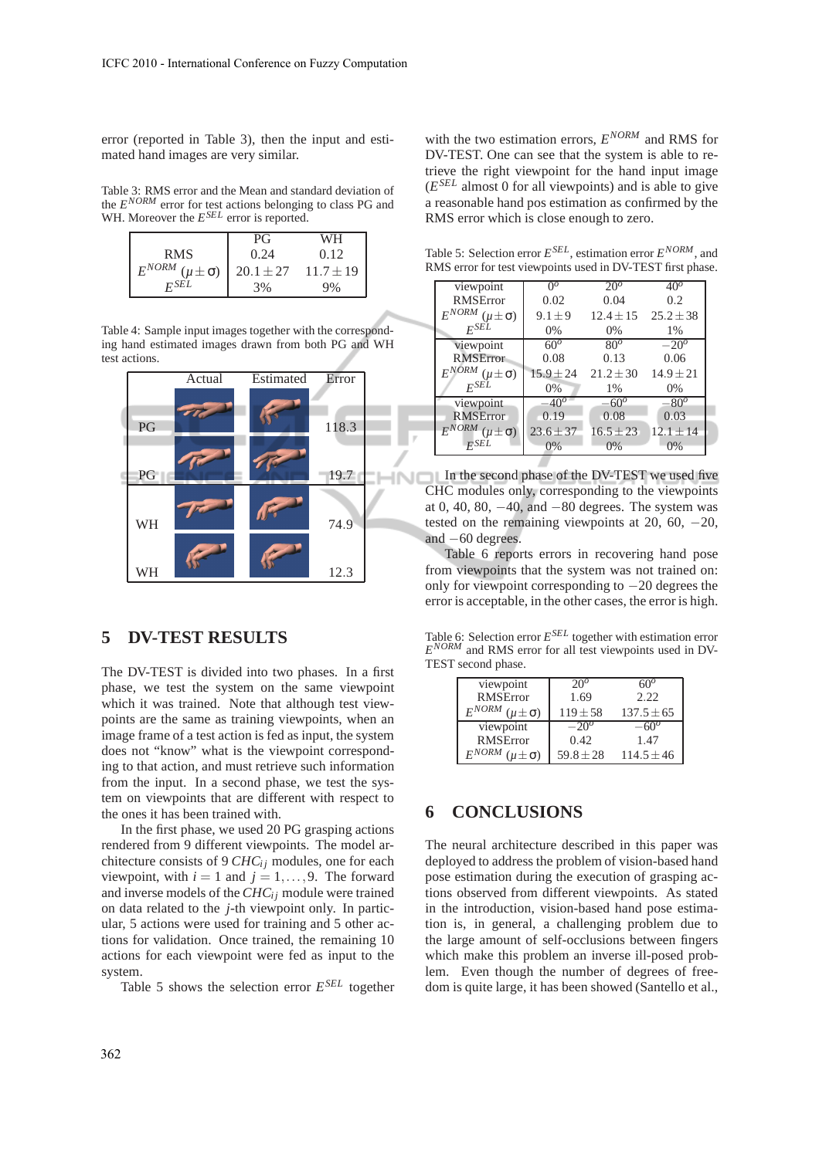error (reported in Table 3), then the input and estimated hand images are very similar.

Table 3: RMS error and the Mean and standard deviation of the *E NORM* error for test actions belonging to class PG and WH. Moreover the  $E^{SEL}$  error is reported.

|                                 | РG            | WH            |
|---------------------------------|---------------|---------------|
| <b>RMS</b>                      | 0.24          | 0.12          |
| $E^{NORM}$ ( $\mu \pm \sigma$ ) | $20.1 \pm 27$ | $11.7 \pm 19$ |
| $F^{SEL}$                       | 3%            | 9%            |

Table 4: Sample input images together with the corresponding hand estimated images drawn from both PG and WH test actions.



### **5 DV-TEST RESULTS**

The DV-TEST is divided into two phases. In a first phase, we test the system on the same viewpoint which it was trained. Note that although test viewpoints are the same as training viewpoints, when an image frame of a test action is fed as input, the system does not "know" what is the viewpoint corresponding to that action, and must retrieve such information from the input. In a second phase, we test the system on viewpoints that are different with respect to the ones it has been trained with.

In the first phase, we used 20 PG grasping actions rendered from 9 different viewpoints. The model architecture consists of 9 *CHC*<sup>*i*</sup> modules, one for each viewpoint, with  $i = 1$  and  $j = 1, \ldots, 9$ . The forward and inverse models of the *CHC*<sup>*i*</sup> j module were trained on data related to the *j*-th viewpoint only. In particular, 5 actions were used for training and 5 other actions for validation. Once trained, the remaining 10 actions for each viewpoint were fed as input to the system.

Table 5 shows the selection error *E SEL* together

with the two estimation errors,  $E^{NORM}$  and RMS for DV-TEST. One can see that the system is able to retrieve the right viewpoint for the hand input image (*E SEL* almost 0 for all viewpoints) and is able to give a reasonable hand pos estimation as confirmed by the RMS error which is close enough to zero.

Table 5: Selection error *E SEL*, estimation error *E NORM*, and RMS error for test viewpoints used in DV-TEST first phase.

| viewpoint       | $\Omega^o$                                                                                                                 | $20^{\circ}$  | 40%           |
|-----------------|----------------------------------------------------------------------------------------------------------------------------|---------------|---------------|
| <b>RMSError</b> | 0.02                                                                                                                       | 0.04          | 0.2           |
|                 | $9.1 \pm 9$                                                                                                                | $12.4 + 15$   | $25.2 + 38$   |
|                 | $0\%$                                                                                                                      | 0%            | 1%            |
| viewpoint       | $60^{\circ}$                                                                                                               | $80^\circ$    | $-20^\circ$   |
| <b>RMSError</b> | 0.08                                                                                                                       | 0.13          | 0.06          |
|                 | $15.9 \pm 24$                                                                                                              | $21.2 + 30$   | $14.9 \pm 21$ |
| $F^{SEL}$       | $0\%$                                                                                                                      | $1\%$         | $0\%$         |
| viewpoint       | $-40^{o}$                                                                                                                  | $-60^{\circ}$ | $-80^\circ$   |
| <b>RMSError</b> | 0.19                                                                                                                       | 0.08          | 0.03          |
|                 | $23.6 \pm 37$                                                                                                              | $16.5 \pm 23$ | $12.1 \pm 14$ |
| FSEL            | $0\%$                                                                                                                      | $0\%$         | $0\%$         |
|                 | $E^{NORM}$ ( $\mu \pm \sigma$ )<br>$F^{SEL}$<br>$E^{NORM}$ ( $\mu \pm \sigma$ )<br>$E^{NORM}\left( \mu \pm \sigma \right)$ |               |               |

In the second phase of the DV-TEST we used five CHC modules only, corresponding to the viewpoints at 0, 40, 80,  $-40$ , and  $-80$  degrees. The system was tested on the remaining viewpoints at 20, 60,  $-20$ , and −60 degrees.

Table 6 reports errors in recovering hand pose from viewpoints that the system was not trained on: only for viewpoint corresponding to −20 degrees the error is acceptable, in the other cases, the error is high.

Table 6: Selection error *E SEL* together with estimation error *E NORM* and RMS error for all test viewpoints used in DV-TEST second phase.

| viewpoint                       | $20^{\circ}$  | hl I <sup>u</sup> |
|---------------------------------|---------------|-------------------|
| <b>RMSError</b>                 | 1.69          | 2.22.             |
| $E^{NORM}$ ( $\mu \pm \sigma$ ) | $119 + 58$    | $137.5 \pm 65$    |
| viewpoint                       | $-20^{\circ}$ |                   |
| <b>RMSError</b>                 | 0.42.         | 1.47              |
| $E^{NORM}$ ( $\mu \pm \sigma$ ) | $59.8 \pm 28$ | $114.5 \pm 46$    |

## **6 CONCLUSIONS**

The neural architecture described in this paper was deployed to address the problem of vision-based hand pose estimation during the execution of grasping actions observed from different viewpoints. As stated in the introduction, vision-based hand pose estimation is, in general, a challenging problem due to the large amount of self-occlusions between fingers which make this problem an inverse ill-posed problem. Even though the number of degrees of freedom is quite large, it has been showed (Santello et al.,